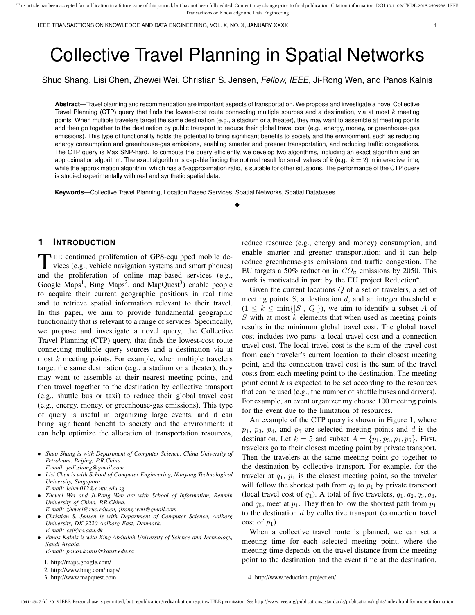# Collective Travel Planning in Spatial Networks

Shuo Shang, Lisi Chen, Zhewei Wei, Christian S. Jensen, *Fellow, IEEE,* Ji-Rong Wen, and Panos Kalnis

**Abstract**—Travel planning and recommendation are important aspects of transportation. We propose and investigate a novel Collective Travel Planning (CTP) query that finds the lowest-cost route connecting multiple sources and a destination, via at most  $k$  meeting points. When multiple travelers target the same destination (e.g., a stadium or a theater), they may want to assemble at meeting points and then go together to the destination by public transport to reduce their global travel cost (e.g., energy, money, or greenhouse-gas emissions). This type of functionality holds the potential to bring significant benefits to society and the environment, such as reducing energy consumption and greenhouse-gas emissions, enabling smarter and greener transportation, and reducing traffic congestions. The CTP query is Max SNP-hard. To compute the query efficiently, we develop two algorithms, including an exact algorithm and an approximation algorithm. The exact algorithm is capable finding the optimal result for small values of  $k$  (e.g.,  $k = 2$ ) in interactive time, while the approximation algorithm, which has a 5-approximation ratio, is suitable for other situations. The performance of the CTP query is studied experimentally with real and synthetic spatial data.

✦

**Keywords**—Collective Travel Planning, Location Based Services, Spatial Networks, Spatial Databases

# **1 INTRODUCTION**

THE continued proliferation of GPS-equipped mobile devices (e.g., vehicle navigation systems and smart phones) and the proliferation of online map-based services (e.g., HE continued proliferation of GPS-equipped mobile devices (e.g., vehicle navigation systems and smart phones) Google Maps<sup>1</sup>, Bing Maps<sup>2</sup>, and MapQuest<sup>3</sup>) enable people to acquire their current geographic positions in real time and to retrieve spatial information relevant to their travel. In this paper, we aim to provide fundamental geographic functionality that is relevant to a range of services. Specifically, we propose and investigate a novel query, the Collective Travel Planning (CTP) query, that finds the lowest-cost route connecting multiple query sources and a destination via at most  $k$  meeting points. For example, when multiple travelers target the same destination (e.g., a stadium or a theater), they may want to assemble at their nearest meeting points, and then travel together to the destination by collective transport (e.g., shuttle bus or taxi) to reduce their global travel cost (e.g., energy, money, or greenhouse-gas emissions). This type of query is useful in organizing large events, and it can bring significant benefit to society and the environment: it can help optimize the allocation of transportation resources,

- *Shuo Shang is with Department of Computer Science, China University of Petroleum, Beijing, P.R.China. E-mail: jedi.shang@gmail.com*
- *Lisi Chen is with School of Computer Engineering, Nanyang Technological University, Singapore.*
- *E-mail: lchen012@e.ntu.edu.sg* • *Zhewei Wei and Ji-Rong Wen are with School of Information, Renmin University of China, P.R.China.*
- *E-mail: zhewei@ruc.edu.cn, jirong.wen@gmail.com*
- *Christian S. Jensen is with Department of Computer Science, Aalborg University, DK-9220 Aalborg East, Denmark. E-mail: csj@cs.aau.dk*
- *Panos Kalnis is with King Abdullah University of Science and Technology, Saudi Arabia.*

*E-mail: panos.kalnis@kaust.edu.sa*

- 1. http://maps.google.com/
- 2. http://www.bing.com/maps/
- 3. http://www.mapquest.com

reduce resource (e.g., energy and money) consumption, and enable smarter and greener transportation; and it can help reduce greenhouse-gas emissions and traffic congestion. The EU targets a 50% reduction in  $CO<sub>2</sub>$  emissions by 2050. This work is motivated in part by the EU project Reduction<sup>4</sup>.

Given the current locations  $Q$  of a set of travelers, a set of meeting points  $S$ , a destination  $d$ , and an integer threshold  $k$  $(1 \leq k \leq \min\{|S|, |Q|\})$ , we aim to identify a subset A of  $S$  with at most  $k$  elements that when used as meeting points results in the minimum global travel cost. The global travel cost includes two parts: a local travel cost and a connection travel cost. The local travel cost is the sum of the travel cost from each traveler's current location to their closest meeting point, and the connection travel cost is the sum of the travel costs from each meeting point to the destination. The meeting point count  $k$  is expected to be set according to the resources that can be used (e.g., the number of shuttle buses and drivers). For example, an event organizer my choose 100 meeting points for the event due to the limitation of resources.

An example of the CTP query is shown in Figure 1, where  $p_1$ ,  $p_3$ ,  $p_4$ , and  $p_5$  are selected meeting points and d is the destination. Let  $k = 5$  and subset  $A = \{p_1, p_3, p_4, p_5\}$ . First, travelers go to their closest meeting point by private transport. Then the travelers at the same meeting point go together to the destination by collective transport. For example, for the traveler at  $q_1$ ,  $p_1$  is the closest meeting point, so the traveler will follow the shortest path from  $q_1$  to  $p_1$  by private transport (local travel cost of  $q_1$ ). A total of five travelers,  $q_1, q_2, q_3, q_4$ , and  $q_5$ , meet at  $p_1$ . They then follow the shortest path from  $p_1$ to the destination  $d$  by collective transport (connection travel cost of  $p_1$ ).

When a collective travel route is planned, we can set a meeting time for each selected meeting point, where the meeting time depends on the travel distance from the meeting point to the destination and the event time at the destination.

<sup>4.</sup> http://www.reduction-project.eu/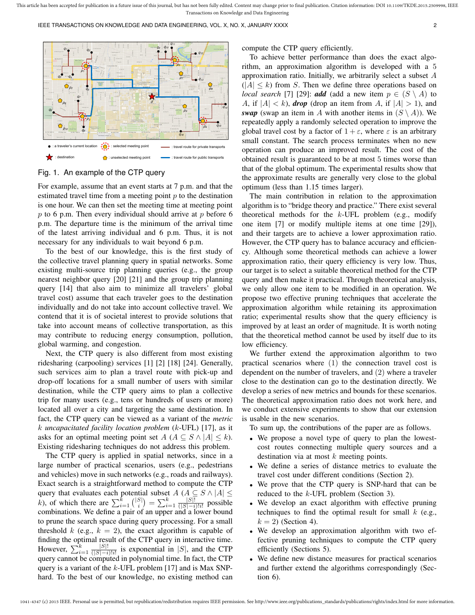

Fig. 1. An example of the CTP query

For example, assume that an event starts at 7 p.m. and that the estimated travel time from a meeting point  $p$  to the destination is one hour. We can then set the meeting time at meeting point  $p$  to 6 p.m. Then every individual should arrive at  $p$  before 6 p.m. The departure time is the minimum of the arrival time of the latest arriving individual and 6 p.m. Thus, it is not necessary for any individuals to wait beyond 6 p.m.

To the best of our knowledge, this is the first study of the collective travel planning query in spatial networks. Some existing multi-source trip planning queries (e.g., the group nearest neighbor query [20] [21] and the group trip planning query [14] that also aim to minimize all travelers' global travel cost) assume that each traveler goes to the destination individually and do not take into account collective travel. We contend that it is of societal interest to provide solutions that take into account means of collective transportation, as this may contribute to reducing energy consumption, pollution, global warming, and congestion.

Next, the CTP query is also different from most existing ridesharing (carpooling) services [1] [2] [18] [24]. Generally, such services aim to plan a travel route with pick-up and drop-off locations for a small number of users with similar destination, while the CTP query aims to plan a collective trip for many users (e.g., tens or hundreds of users or more) located all over a city and targeting the same destination. In fact, the CTP query can be viewed as a variant of the *metric* k *uncapacitated facility location problem* (k-UFL) [17], as it asks for an optimal meeting point set  $A$  ( $A \subseteq S \wedge |A| \leq k$ ). Existing ridesharing techniques do not address this problem.

The CTP query is applied in spatial networks, since in a large number of practical scenarios, users (e.g., pedestrians and vehicles) move in such networks (e.g., roads and railways). Exact search is a straightforward method to compute the CTP query that evaluates each potential subset  $A (A \subseteq S \wedge |A| \leq$ k), of which there are  $\sum_{i=1}^{k} \binom{|S|}{i} = \sum_{i=1}^{k} \frac{|S|!}{(|S|-i)}$  $rac{|S|!}{(|S|-i)!i!}$  possible combinations. We define a pair of an upper and a lower bound to prune the search space during query processing. For a small threshold k (e.g.,  $k = 2$ ), the exact algorithm is capable of finding the optimal result of the CTP query in interactive time. However,  $\sum_{i=1}^{k} \frac{|S|!}{(|S|-i)}$  $\frac{|S|!}{(|S|-i)!i!}$  is exponential in |S|, and the CTP query cannot be computed in polynomial time. In fact, the CTP query is a variant of the  $k$ -UFL problem [17] and is Max SNPhard. To the best of our knowledge, no existing method can compute the CTP query efficiently.

To achieve better performance than does the exact algorithm, an approximation algorithm is developed with a 5 approximation ratio. Initially, we arbitrarily select a subset A  $(|A| \leq k)$  from S. Then we define three operations based on *local search* [7] [29]: *add* (add a new item  $p \in (S \setminus A)$  to A, if  $|A| < k$ ), *drop* (drop an item from A, if  $|A| > 1$ ), and *swap* (swap an item in A with another items in  $(S \setminus A)$ ). We repeatedly apply a randomly selected operation to improve the global travel cost by a factor of  $1 + \varepsilon$ , where  $\varepsilon$  is an arbitrary small constant. The search process terminates when no new operation can produce an improved result. The cost of the obtained result is guaranteed to be at most 5 times worse than that of the global optimum. The experimental results show that the approximate results are generally very close to the global optimum (less than 1.15 times larger).

The main contribution in relation to the approximation algorithm is to "bridge theory and practice." There exist several theoretical methods for the  $k$ -UFL problem (e.g., modify one item [7] or modify multiple items at one time [29]), and their targets are to achieve a lower approximation ratio. However, the CTP query has to balance accuracy and efficiency. Although some theoretical methods can achieve a lower approximation ratio, their query efficiency is very low. Thus, our target is to select a suitable theoretical method for the CTP query and then make it practical. Through theoretical analysis, we only allow one item to be modified in an operation. We propose two effective pruning techniques that accelerate the approximation algorithm while retaining its approximation ratio; experimental results show that the query efficiency is improved by at least an order of magnitude. It is worth noting that the theoretical method cannot be used by itself due to its low efficiency.

We further extend the approximation algorithm to two practical scenarios where (1) the connection travel cost is dependent on the number of travelers, and (2) where a traveler close to the destination can go to the destination directly. We develop a series of new metrics and bounds for these scenarios. The theoretical approximation ratio does not work here, and we conduct extensive experiments to show that our extension is usable in the new scenarios.

To sum up, the contributions of the paper are as follows.

- We propose a novel type of query to plan the lowestcost routes connecting multiple query sources and a destination via at most  $k$  meeting points.
- We define a series of distance metrics to evaluate the travel cost under different conditions (Section 2).
- We prove that the CTP query is SNP-hard that can be reduced to the k-UFL problem (Section 3).
- We develop an exact algorithm with effective pruning techniques to find the optimal result for small  $k$  (e.g.,  $k = 2$ ) (Section 4).
- We develop an approximation algorithm with two effective pruning techniques to compute the CTP query efficiently (Sections 5).
- We define new distance measures for practical scenarios and further extend the algorithms correspondingly (Section 6).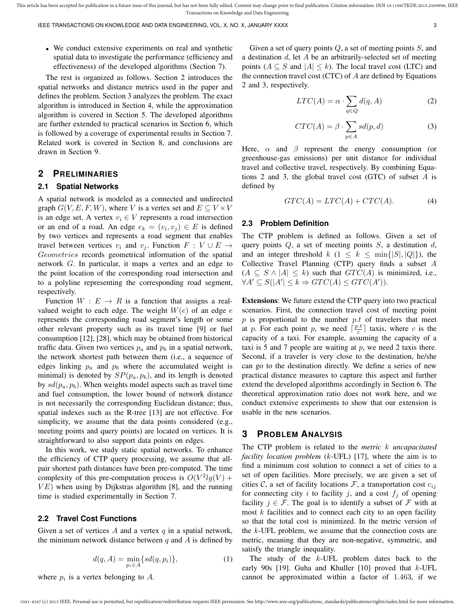IEEE TRANSACTIONS ON KNOWLEDGE AND DATA ENGINEERING, VOL. X, NO. X, JANUARY XXXX 3 3 3 3 3

• We conduct extensive experiments on real and synthetic spatial data to investigate the performance (efficiency and effectiveness) of the developed algorithms (Section 7).

The rest is organized as follows. Section 2 introduces the spatial networks and distance metrics used in the paper and defines the problem. Section 3 analyzes the problem. The exact algorithm is introduced in Section 4, while the approximation algorithm is covered in Section 5. The developed algorithms are further extended to practical scenarios in Section 6, which is followed by a coverage of experimental results in Section 7. Related work is covered in Section 8, and conclusions are drawn in Section 9.

# **2 PRELIMINARIES**

#### **2.1 Spatial Networks**

A spatial network is modeled as a connected and undirected graph  $G(V, E, F, W)$ , where V is a vertex set and  $E \subseteq V \times V$ is an edge set. A vertex  $v_i \in V$  represents a road intersection or an end of a road. An edge  $e_k = (v_i, v_j) \in E$  is defined by two vertices and represents a road segment that enables travel between vertices  $v_i$  and  $v_j$ . Function  $F : V \cup E \rightarrow$ Geometries records geometrical information of the spatial network G. In particular, it maps a vertex and an edge to the point location of the corresponding road intersection and to a polyline representing the corresponding road segment, respectively.

Function  $W : E \to R$  is a function that assigns a realvalued weight to each edge. The weight  $W(e)$  of an edge e represents the corresponding road segment's length or some other relevant property such as its travel time [9] or fuel consumption [12], [28], which may be obtained from historical traffic data. Given two vertices  $p_a$  and  $p_b$  in a spatial network, the network shortest path between them (i.e., a sequence of edges linking  $p_a$  and  $p_b$  where the accumulated weight is minimal) is denoted by  $SP(p_a, p_b)$ , and its length is denoted by  $sd(p_a, p_b)$ . When weights model aspects such as travel time and fuel consumption, the lower bound of network distance is not necessarily the corresponding Euclidean distance; thus, spatial indexes such as the R-tree [13] are not effective. For simplicity, we assume that the data points considered (e.g., meeting points and query points) are located on vertices. It is straightforward to also support data points on edges.

In this work, we study static spatial networks. To enhance the efficiency of CTP query processing, we assume that allpair shortest path distances have been pre-computed. The time complexity of this pre-computation process is  $O(V^2lg(V) +$  $VE$ ) when using by Dijkstras algorithm [8], and the running time is studied experimentally in Section 7.

## **2.2 Travel Cost Functions**

Given a set of vertices  $A$  and a vertex  $q$  in a spatial network, the minimum network distance between  $q$  and  $A$  is defined by

$$
d(q, A) = \min_{p_i \in A} \{sd(q, p_i)\},\tag{1}
$$

where  $p_i$  is a vertex belonging to  $A$ .

Given a set of query points  $Q$ , a set of meeting points  $S$ , and a destination  $d$ , let  $A$  be an arbitrarily-selected set of meeting points ( $A \subseteq S$  and  $|A| \leq k$ ). The local travel cost (LTC) and the connection travel cost (CTC) of  $A$  are defined by Equations 2 and 3, respectively.

$$
LTC(A) = \alpha \cdot \sum_{q \in Q} d(q, A)
$$
 (2)

$$
CTC(A) = \beta \cdot \sum_{p \in A} sd(p, d)
$$
 (3)

Here,  $\alpha$  and  $\beta$  represent the energy consumption (or greenhouse-gas emissions) per unit distance for individual travel and collective travel, respectively. By combining Equations 2 and 3, the global travel cost (GTC) of subset A is defined by

$$
GTC(A) = LTC(A) + CTC(A). \tag{4}
$$

#### **2.3 Problem Definition**

The CTP problem is defined as follows. Given a set of query points  $Q$ , a set of meeting points  $S$ , a destination  $d$ , and an integer threshold  $k$  ( $1 \leq k \leq \min\{|S|, |Q|\}$ ), the Collective Travel Planning (CTP) query finds a subset A  $(A \subseteq S \land |A| \leq k)$  such that  $GTC(A)$  is minimized, i.e.,  $\forall A' \subseteq S(|A'| \leq k \Rightarrow GTC(A) \leq GTC(A')).$ 

Extensions: We future extend the CTP query into two practical scenarios. First, the connection travel cost of meeting point  $p$  is proportional to the number  $p.t$  of travelers that meet at p. For each point p, we need  $\left\lceil \frac{p.t}{c} \right\rceil$  taxis, where c is the capacity of a taxi. For example, assuming the capacity of a taxi is 5 and 7 people are waiting at  $p$ , we need 2 taxis there. Second, if a traveler is very close to the destination, he/she can go to the destination directly. We define a series of new practical distance measures to capture this aspect and further extend the developed algorithms accordingly in Section 6. The theoretical approximation ratio does not work here, and we conduct extensive experiments to show that our extension is usable in the new scenarios.

## **3 PROBLEM ANALYSIS**

The CTP problem is related to the *metric* k *uncapacitated facility location problem* (k-UFL) [17], where the aim is to find a minimum cost solution to connect a set of cities to a set of open facilities. More precisely, we are given a set of cities  $C$ , a set of facility locations  $F$ , a transportation cost  $c_{ij}$ for connecting city i to facility j, and a cost  $f_j$  of opening facility  $j \in \mathcal{F}$ . The goal is to identify a subset of  $\mathcal F$  with at most  $k$  facilities and to connect each city to an open facility so that the total cost is minimized. In the metric version of the  $k$ -UFL problem, we assume that the connection costs are metric, meaning that they are non-negative, symmetric, and satisfy the triangle inequality.

The study of the  $k$ -UFL problem dates back to the early 90s [19]. Guha and Khuller [10] proved that  $k$ -UFL cannot be approximated within a factor of 1.463, if we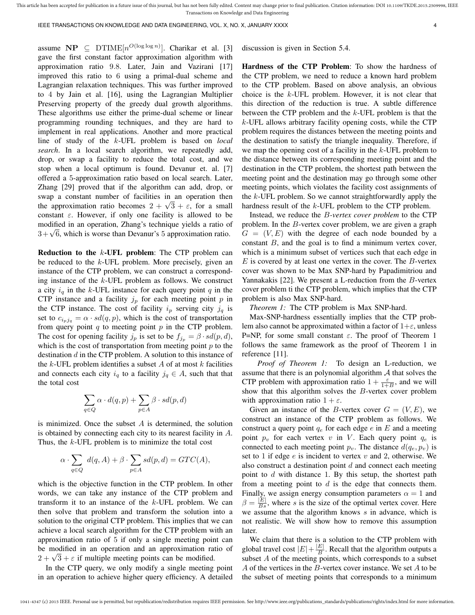IEEE TRANSACTIONS ON KNOWLEDGE AND DATA ENGINEERING, VOL. X, NO. X, JANUARY XXXX 4

assume  $\mathbf{NP} \subseteq \mathrm{DTIME}[n^{O(\log \log n)}]$ . Charikar et al. [3] gave the first constant factor approximation algorithm with approximation ratio 9.8. Later, Jain and Vazirani [17] improved this ratio to 6 using a primal-dual scheme and Lagrangian relaxation techniques. This was further improved to 4 by Jain et al. [16], using the Lagrangian Multiplier Preserving property of the greedy dual growth algorithms. These algorithms use either the prime-dual scheme or linear programming rounding techniques, and they are hard to implement in real applications. Another and more practical line of study of the k-UFL problem is based on *local search*. In a local search algorithm, we repeatedly add, drop, or swap a facility to reduce the total cost, and we stop when a local optimum is found. Devanur et. al. [7] offered a 5-approximation ratio based on local search. Later, Zhang [29] proved that if the algorithm can add, drop, or swap a constant number of facilities in an operation then swap a constant number or ractities in an operation then<br>the approximation ratio becomes  $2 + \sqrt{3} + \varepsilon$ , for a small constant  $\varepsilon$ . However, if only one facility is allowed to be modified in an operation, Zhang's technique yields a ratio of modified in an operation, zhang s technique yields a ratio on  $3 + \sqrt{6}$ , which is worse than Devanur's 5 approximation ratio.

Reduction to the  $k$ -UFL problem: The CTP problem can be reduced to the k-UFL problem. More precisely, given an instance of the CTP problem, we can construct a corresponding instance of the k-UFL problem as follows. We construct a city  $i_q$  in the k-UFL instance for each query point q in the CTP instance and a facility  $j_p$  for each meeting point p in the CTP instance. The cost of facility  $i_p$  serving city  $j_q$  is set to  $c_{i_nj_q} = \alpha \cdot sd(q, p)$ , which is the cost of transportation from query point  $q$  to meeting point  $p$  in the CTP problem. The cost for opening facility  $j_p$  is set to be  $f_{j_p} = \beta \cdot sd(p, d)$ , which is the cost of transportation from meeting point  $p$  to the destination  $d$  in the CTP problem. A solution to this instance of the k-UFL problem identifies a subset A of at most k facilities and connects each city  $i_q$  to a facility  $j_q \in A$ , such that that the total cost

$$
\sum_{q\in Q}\alpha\cdot d(q,p)+\sum_{p\in A}\beta\cdot sd(p,d)
$$

is minimized. Once the subset  $A$  is determined, the solution is obtained by connecting each city to its nearest facility in A. Thus, the k-UFL problem is to minimize the total cost

$$
\alpha \cdot \sum_{q \in Q} d(q, A) + \beta \cdot \sum_{p \in A} sd(p, d) = GTC(A),
$$

which is the objective function in the CTP problem. In other words, we can take any instance of the CTP problem and transform it to an instance of the  $k$ -UFL problem. We can then solve that problem and transform the solution into a solution to the original CTP problem. This implies that we can achieve a local search algorithm for the CTP problem with an approximation ratio of 5 if only a single meeting point can be modified in an operation and an approximation ratio of be moduled in an operation and an approximation rate  $2 + \sqrt{3} + \varepsilon$  if multiple meeting points can be modified.

In the CTP query, we only modify a single meeting point in an operation to achieve higher query efficiency. A detailed discussion is given in Section 5.4.

Hardness of the CTP Problem: To show the hardness of the CTP problem, we need to reduce a known hard problem to the CTP problem. Based on above analysis, an obvious choice is the  $k$ -UFL problem. However, it is not clear that this direction of the reduction is true. A subtle difference between the CTP problem and the k-UFL problem is that the k-UFL allows arbitrary facility opening costs, while the CTP problem requires the distances between the meeting points and the destination to satisfy the triangle inequality. Therefore, if we map the opening cost of a facility in the  $k$ -UFL problem to the distance between its corresponding meeting point and the destination in the CTP problem, the shortest path between the meeting point and the destination may go through some other meeting points, which violates the facility cost assignments of the k-UFL problem. So we cannot straightforwardly apply the hardness result of the k-UFL problem to the CTP problem.

Instead, we reduce the B*-vertex cover problem* to the CTP problem. In the B-vertex cover problem, we are given a graph  $G = (V, E)$  with the degree of each node bounded by a constant  $B$ , and the goal is to find a minimum vertex cover, which is a minimum subset of vertices such that each edge in  $E$  is covered by at least one vertex in the cover. The  $B$ -vertex cover was shown to be Max SNP-hard by Papadimitriou and Yannakakis [22]. We present a L-reduction from the B-vertex cover problem ti the CTP problem, which implies that the CTP problem is also Max SNP-hard.

*Theorem 1:* The CTP problem is Max SNP-hard.

Max-SNP-hardness essentially implies that the CTP problem also cannot be approximated within a factor of  $1+\varepsilon$ , unless P=NP, for some small constant  $\varepsilon$ . The proof of Theorem 1 follows the same framework as the proof of Theorem 1 in reference [11].

*Proof of Theorem 1:* To design an L-reduction, we assume that there is an polynomial algorithm  $A$  that solves the CTP problem with approximation ratio  $1 + \frac{\varepsilon}{1+B}$ , and we will show that this algorithm solves the B-vertex cover problem with approximation ratio  $1 + \varepsilon$ .

Given an instance of the B-vertex cover  $G = (V, E)$ , we construct an instance of the CTP problem as follows. We construct a query point  $q_e$  for each edge  $e$  in  $E$  and a meeting point  $p_v$  for each vertex v in V. Each query point  $q_e$  is connected to each meeting point  $p_v$ . The distance  $d(q_e, p_v)$  is set to 1 if edge  $e$  is incident to vertex  $v$  and 2, otherwise. We also construct a destination point  $d$  and connect each meeting point to  $d$  with distance 1. By this setup, the shortest path from a meeting point to  $d$  is the edge that connects them. Finally, we assign energy consumption parameters  $\alpha = 1$  and  $\beta = \frac{|E|}{Bs}$ , where s is the size of the optimal vertex cover. Here we assume that the algorithm knows  $s$  in advance, which is not realistic. We will show how to remove this assumption later.

We claim that there is a solution to the CTP problem with global travel cost  $|E| + \frac{|E|}{B}$  $\frac{E}{B}$ . Recall that the algorithm outputs a subset  $A$  of the meeting points, which corresponds to a subset  $A$  of the vertices in the  $B$ -vertex cover instance. We set  $A$  to be the subset of meeting points that corresponds to a minimum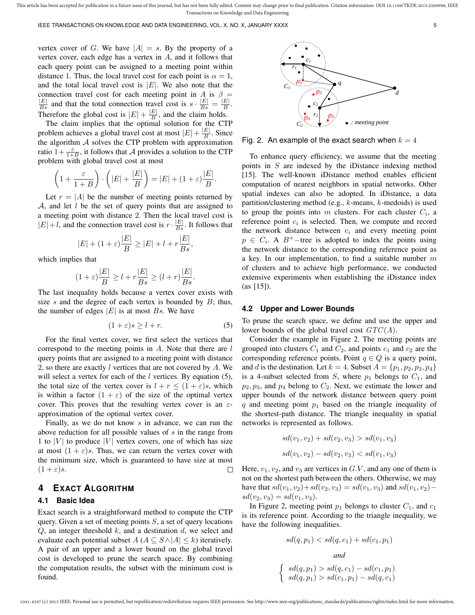vertex cover of G. We have  $|A| = s$ . By the property of a vertex cover, each edge has a vertex in A, and it follows that each query point can be assigned to a meeting point within distance 1. Thus, the local travel cost for each point is  $\alpha = 1$ , and the total local travel cost is  $|E|$ . We also note that the connection travel cost for each meeting point in A is  $\beta =$  $\frac{|E|}{Bs}$  and that the total connection travel cost is  $s \cdot \frac{|E|}{Bs} = \frac{|E|}{B}$  $\frac{E\parallel}{B}$ . Therefore the global cost is  $|E| + \frac{|E|}{R}$  $\frac{E}{B}$ , and the claim holds.

The claim implies that the optimal solution for the CTP problem achieves a global travel cost at most  $|E| + \frac{|E|}{R}$  $\frac{E|}{B}$ . Since the algorithm  $A$  solves the CTP problem with approximation ratio  $1+\frac{\varepsilon}{1+B}$ , it follows that A provides a solution to the CTP problem with global travel cost at most

$$
\left(1+\frac{\varepsilon}{1+B}\right)\cdot\left(|E|+\frac{|E|}{B}\right)=|E|+(1+\varepsilon)\frac{|E|}{B}.
$$

Let  $r = |A|$  be the number of meeting points returned by  $A$ , and let  $l$  be the set of query points that are assigned to a meeting point with distance 2. Then the local travel cost is  $|E|+l$ , and the connection travel cost is  $r \cdot \frac{|E|}{Bs}$ . It follows that

$$
|E| + (1 + \varepsilon) \frac{|E|}{B} \ge |E| + l + r \frac{|E|}{Bs},
$$

which implies that

$$
(1+\varepsilon)\frac{|E|}{B} \ge l + r\frac{|E|}{Bs} \ge (l+r)\frac{|E|}{Bs}.
$$

The last inequality holds because a vertex cover exists with size s and the degree of each vertex is bounded by  $B$ ; thus, the number of edges  $|E|$  is at most  $Bs$ . We have

$$
(1+\varepsilon)s \ge l+r.\tag{5}
$$

For the final vertex cover, we first select the vertices that correspond to the meeting points in  $A$ . Note that there are  $l$ query points that are assigned to a meeting point with distance 2, so there are exactly  $l$  vertices that are not covered by  $A$ . We will select a vertex for each of the  $l$  vertices. By equation (5), the total size of the vertex cover is  $l + r \leq (1 + \varepsilon)s$ , which is within a factor  $(1 + \varepsilon)$  of the size of the optimal vertex cover. This proves that the resulting vertex cover is an  $\varepsilon$ approximation of the optimal vertex cover.

Finally, as we do not know  $s$  in advance, we can run the above reduction for all possible values of  $s$  in the range from 1 to |V| to produce |V| vertex covers, one of which has size at most  $(1 + \varepsilon)s$ . Thus, we can return the vertex cover with the minimum size, which is guaranteed to have size at most  $(1+\varepsilon)s$ .  $\Box$ 

# **4 EXACT ALGORITHM**

## **4.1 Basic Idea**

Exact search is a straightforward method to compute the CTP query. Given a set of meeting points  $S$ , a set of query locations  $Q$ , an integer threshold  $k$ , and a destination  $d$ , we select and evaluate each potential subset  $A (A \subseteq S \land |A| \leq k)$  iteratively. A pair of an upper and a lower bound on the global travel cost is developed to prune the search space. By combining the computation results, the subset with the minimum cost is found.



Fig. 2. An example of the exact search when  $k = 4$ 

To enhance query efficiency, we assume that the meeting points in S are indexed by the iDistance indexing method [15]. The well-known iDistance method enables efficient computation of nearest neighbors in spatial networks. Other spatial indexes can also be adopted. In iDistance, a data partition/clustering method (e.g., k-means, k-medoids) is used to group the points into  $m$  clusters. For each cluster  $C_i$ , a reference point  $c_i$  is selected. Then, we compute and record the network distance between  $c_i$  and every meeting point  $p \in C_i$ . A B<sup>+</sup>-tree is adopted to index the points using the network distance to the corresponding reference point as a key. In our implementation, to find a suitable number  $m$ of clusters and to achieve high performance, we conducted extensive experiments when establishing the iDistance index (as [15]).

#### **4.2 Upper and Lower Bounds**

To prune the search space, we define and use the upper and lower bounds of the global travel cost  $GTC(A)$ .

Consider the example in Figure 2. The meeting points are grouped into clusters  $C_1$  and  $C_2$ , and points  $c_1$  and  $c_2$  are the corresponding reference points. Point  $q \in Q$  is a query point, and d is the destination. Let  $k = 4$ . Subset  $A = \{p_1, p_2, p_3, p_4\}$ is a 4-subset selected from S, where  $p_1$  belongs to  $C_1$ , and  $p_2, p_3$ , and  $p_4$  belong to  $C_2$ . Next, we estimate the lower and upper bounds of the network distance between query point  $q$  and meeting point  $p_1$  based on the triangle inequality of the shortest-path distance. The triangle inequality in spatial networks is represented as follows.

$$
sd(v_1, v_2) + sd(v_2, v_3) > sd(v_1, v_3)
$$
  

$$
sd(v_1, v_2) - sd(v_2, v_3) < sd(v_1, v_3)
$$

Here,  $v_1, v_2$ , and  $v_3$  are vertices in  $G.V$ , and any one of them is not on the shortest path between the others. Otherwise, we may have that  $sd(v_1, v_2)+sd(v_2, v_3) = sd(v_1, v_3)$  and  $sd(v_1, v_2)$ −  $sd(v_2, v_3) = sd(v_1, v_3).$ 

In Figure 2, meeting point  $p_1$  belongs to cluster  $C_1$ , and  $c_1$ is its reference point. According to the triangle inequality, we have the following inequalities.

$$
sd(q, p_1) < sd(q, c_1) + sd(c_1, p_1)
$$
\n
$$
and
$$
\n
$$
\begin{cases}\n sd(q, p_1) > sd(q, c_1) - sd(c_1, p_1) \\
 sd(q, p_1) > sd(c_1, p_1) - sd(q, c_1)\n\end{cases}
$$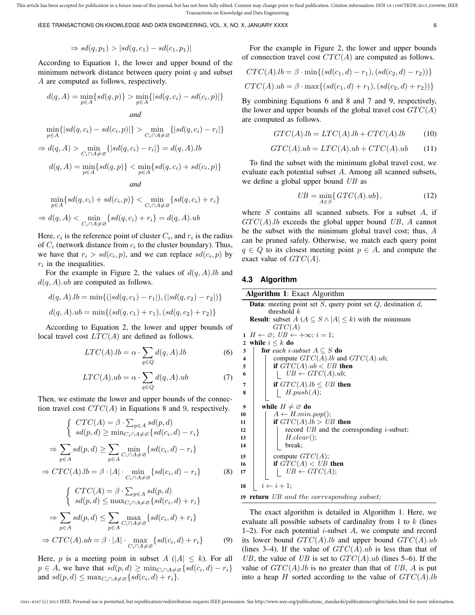IEEE TRANSACTIONS ON KNOWLEDGE AND DATA ENGINEERING, VOL. X, NO. X, JANUARY XXXX 6

$$
\Rightarrow sd(q, p_1) > |sd(q, c_1) - sd(c_1, p_1)|
$$

According to Equation 1, the lower and upper bound of the minimum network distance between query point  $q$  and subset A are computed as follows, respectively.

$$
d(q, A) = \min_{p \in A} \{ sd(q, p)\} > \min_{p \in A} \{|sd(q, c_i) - sd(c_i, p)|\}
$$

*and*

$$
\min_{p \in A} \{|sd(q, c_i) - sd(c_i, p)|\} > \min_{C_i \cap A \neq \varnothing} \{|sd(q, c_i) - r_i|\}
$$

$$
\Rightarrow d(q, A) > \min_{C_i \cap A \neq \varnothing} \{|sd(q, c_i) - r_i|\} = d(q, A).lb
$$

$$
d(q, A) = \min_{p \in A} \{sd(q, p)\} < \min_{p \in A} \{sd(q, c_i) + sd(c_i, p)\}
$$

$$
and
$$

$$
\min_{p \in A} \{ sd(q, c_i) + sd(c_i, p) \} < \min_{C_i \cap A \neq \emptyset} \{ sd(q, c_i) + r_i \}
$$
\n
$$
\Rightarrow d(q, A) < \min_{C_i \cap A \neq \emptyset} \{ sd(q, c_i) + r_i \} = d(q, A).ub
$$

Here,  $c_i$  is the reference point of cluster  $C_i$ , and  $r_i$  is the radius of  $C_i$  (network distance from  $c_i$  to the cluster boundary). Thus, we have that  $r_i > sd(c_i, p)$ , and we can replace  $sd(c_i, p)$  by  $r_i$  in the inequalities.

For the example in Figure 2, the values of  $d(q, A)$ .lb and  $d(q, A)$ .ub are computed as follows.

$$
d(q, A).lb = \min\{(|sd(q, c_1) - r_1|), (|sd(q, c_2) - r_2|)\}
$$
  

$$
d(q, A).ub = \min\{(sd(q, c_1) + r_1), (sd(q, c_2) + r_2)\}
$$

According to Equation 2, the lower and upper bounds of local travel cost  $LTC(A)$  are defined as follows.

$$
LTC(A).lb = \alpha \cdot \sum_{q \in Q} d(q, A).lb
$$
 (6)

$$
LTC(A).ub = \alpha \cdot \sum_{q \in Q} d(q, A).ub \tag{7}
$$

Then, we estimate the lower and upper bounds of the connection travel cost  $CTC(A)$  in Equations 8 and 9, respectively.

$$
\begin{cases}\nCTC(A) = \beta \cdot \sum_{p \in A} sd(p, d) \\
sd(p, d) \ge \min_{C_i \cap A \ne \varnothing} \{ sd(c_i, d) - r_i\} \\
\Rightarrow \sum_{p \in A} sd(p, d) \ge \sum_{p \in A} \min_{C_i \cap A \ne \varnothing} \{ sd(c_i, d) - r_i\} \\
\Rightarrow CTC(A).lb = \beta \cdot |A| \cdot \min_{C_i \cap A \ne \varnothing} \{ sd(c_i, d) - r_i\} \tag{8}
$$

$$
\begin{cases}\nCTC(A) = \beta \cdot \sum_{p \in A} sd(p, d) \\
sd(p, d) \le \max_{C_i \cap A \ne \varnothing} \{sd(c_i, d) + r_i\} \\
\Rightarrow \sum_{p \in A} sd(p, d) \le \sum_{p \in A} \max_{C_i \cap A \ne \varnothing} \{sd(c_i, d) + r_i\} \\
\Rightarrow CTC(A).ub = \beta \cdot |A| \cdot \max_{C_i \cap A \ne \varnothing} \{sd(c_i, d) + r_i\} \tag{9}
$$

Here, p is a meeting point in subset  $A(|A| \leq k)$ . For all  $p \in A$ , we have that  $sd(p, d) \ge \min_{C_i \cap A \ne \emptyset} \{ sd(c_i, d) - r_i\}$ and  $sd(p, d) \leq \max_{C_i \cap A \neq \emptyset} \{ sd(c_i, d) + r_i\}.$ 

For the example in Figure 2, the lower and upper bounds of connection travel cost  $CTC(A)$  are computed as follows.

$$
CTC(A).lb = \beta \cdot \min\{(sd(c_1, d) - r_1), (sd(c_2, d) - r_2))\}
$$

$$
CTC(A).ub = \beta \cdot \max\{(sd(c_1, d) + r_1), (sd(c_2, d) + r_2))\}
$$

By combining Equations 6 and 8 and 7 and 9, respectively, the lower and upper bounds of the global travel cost  $GTC(A)$ are computed as follows.

$$
GTC(A).lb = LTC(A).lb + CTC(A).lb \t(10)
$$

$$
GTC(A).ub = LTC(A).ub + CTC(A).ub \t(11)
$$

To find the subset with the minimum global travel cost, we evaluate each potential subset A. Among all scanned subsets, we define a global upper bound UB as

$$
UB = \min_{A \in S} \{ GTC(A).ub \},\tag{12}
$$

where  $S$  contains all scanned subsets. For a subset  $A$ , if  $GTC(A).$  lb exceeds the global upper bound UB, A cannot be the subset with the minimum global travel cost; thus, A can be pruned safely. Otherwise, we match each query point  $q \in Q$  to its closest meeting point  $p \in A$ , and compute the exact value of  $GTC(A)$ .

#### **4.3 Algorithm**

| Algorithm 1: Exact Algorithm                                                  |  |  |  |  |
|-------------------------------------------------------------------------------|--|--|--|--|
| <b>Data:</b> meeting point set $S$ , query point set $Q$ , destination $d$ ,  |  |  |  |  |
| threshold $k$                                                                 |  |  |  |  |
| <b>Result:</b> subset $A(A \subseteq S \land  A  \leq k)$ with the minimum    |  |  |  |  |
| GTC(A)                                                                        |  |  |  |  |
| $H \leftarrow \emptyset$ ; $UB \leftarrow +\infty$ ; $i = 1$ ;<br>$\mathbf 1$ |  |  |  |  |
| while $i \leq k$ do<br>$\overline{2}$                                         |  |  |  |  |
| <b>for</b> each <i>i</i> -subset $A \subseteq S$ <b>do</b><br>3               |  |  |  |  |
| compute $GTC(A).lb$ and $GTC(A).ub;$<br>4                                     |  |  |  |  |
| if $GTC(A).ub < UB$ then<br>5                                                 |  |  |  |  |
| $UB \leftarrow GTC(A).ub;$<br>6                                               |  |  |  |  |
| if $GTC(A).lb \leq UB$ then<br>7                                              |  |  |  |  |
| H.push(A);<br>8                                                               |  |  |  |  |
|                                                                               |  |  |  |  |
| while $H \neq \emptyset$ do<br>9                                              |  |  |  |  |
| $A \leftarrow H.min.pop();$<br>10                                             |  |  |  |  |
| if $GTC(A).lb > UB$ then<br>11                                                |  |  |  |  |
| record $UB$ and the corresponding <i>i</i> -subset;<br>12                     |  |  |  |  |
| H.dear();<br>13                                                               |  |  |  |  |
| break:<br>14                                                                  |  |  |  |  |
| compute $GTC(A);$<br>15                                                       |  |  |  |  |
| if $GTC(A) < UB$ then<br>16                                                   |  |  |  |  |
| $UB \leftarrow GTC(A);$<br>17                                                 |  |  |  |  |
|                                                                               |  |  |  |  |
| $i \leftarrow i + 1$ ;<br>18                                                  |  |  |  |  |
| <b>19 return</b> UB and the corresponding subset;                             |  |  |  |  |

The exact algorithm is detailed in Algorithm 1. Here, we evaluate all possible subsets of cardinality from 1 to  $k$  (lines 1–2). For each potential *i*-subset  $A$ , we compute and record its lower bound  $GTC(A).lb$  and upper bound  $GTC(A).ub$ (lines 3–4). If the value of  $GTC(A).ub$  is less than that of UB, the value of UB is set to  $GTC(A).ub$  (lines 5–6). If the value of  $GTC(A).$  lb is no greater than that of UB, A is put into a heap H sorted according to the value of  $GTC(A).lb$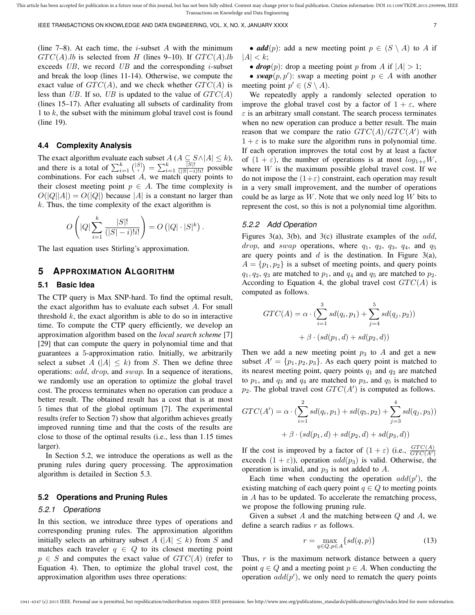(line  $7-8$ ). At each time, the *i*-subset A with the minimum  $GTC(A).lb$  is selected from H (lines 9–10). If  $GTC(A).lb$ exceeds  $UB$ , we record  $UB$  and the corresponding *i*-subset and break the loop (lines 11-14). Otherwise, we compute the exact value of  $GTC(A)$ , and we check whether  $GTC(A)$  is less than UB. If so, UB is updated to the value of  $GTC(A)$ (lines 15–17). After evaluating all subsets of cardinality from 1 to k, the subset with the minimum global travel cost is found (line 19).

#### **4.4 Complexity Analysis**

The exact algorithm evaluate each subset  $A$  ( $A \subseteq S \land |A| \leq k$ ), and there is a total of  $\sum_{i=1}^{k} {|S| \choose i} = \sum_{i=1}^{k} \frac{|S|!}{(|S|-i)}$  $rac{|S|!}{(|S|-i)!i!}$  possible combinations. For each subset  $A$ , we match query points to their closest meeting point  $p \in A$ . The time complexity is  $O(|Q||A|) = O(|Q|)$  because |A| is a constant no larger than  $k$ . Thus, the time complexity of the exact algorithm is

$$
O\left(|Q|\sum_{i=1}^k \frac{|S|!}{(|S|-i)!i!}\right) = O\left(|Q|\cdot|S|^k\right).
$$

The last equation uses Stirling's approximation.

## **5 APPROXIMATION ALGORITHM**

## **5.1 Basic Idea**

The CTP query is Max SNP-hard. To find the optimal result, the exact algorithm has to evaluate each subset  $A$ . For small threshold  $k$ , the exact algorithm is able to do so in interactive time. To compute the CTP query efficiently, we develop an approximation algorithm based on the *local search scheme* [7] [29] that can compute the query in polynomial time and that guarantees a 5-approximation ratio. Initially, we arbitrarily select a subset  $A \ (|A| \leq k)$  from S. Then we define three operations: add, drop, and swap. In a sequence of iterations, we randomly use an operation to optimize the global travel cost. The process terminates when no operation can produce a better result. The obtained result has a cost that is at most 5 times that of the global optimum [7]. The experimental results (refer to Section 7) show that algorithm achieves greatly improved running time and that the costs of the results are close to those of the optimal results (i.e., less than 1.15 times larger).

In Section 5.2, we introduce the operations as well as the pruning rules during query processing. The approximation algorithm is detailed in Section 5.3.

## **5.2 Operations and Pruning Rules**

#### *5.2.1 Operations*

In this section, we introduce three types of operations and corresponding pruning rules. The approximation algorithm initially selects an arbitrary subset  $A \ (|A| \leq k)$  from S and matches each traveler  $q \in Q$  to its closest meeting point  $p \in S$  and computes the exact value of  $GTC(A)$  (refer to Equation 4). Then, to optimize the global travel cost, the approximation algorithm uses three operations:

• *add* $(p)$ : add a new meeting point  $p \in (S \setminus A)$  to A if  $|A| < k$ ;

• *drop*(*p*): drop a meeting point *p* from *A* if  $|A| > 1$ ;

• *swap* $(p, p')$ : swap a meeting point  $p \in A$  with another meeting point  $p' \in (S \setminus A)$ .

We repeatedly apply a randomly selected operation to improve the global travel cost by a factor of  $1 + \varepsilon$ , where  $\varepsilon$  is an arbitrary small constant. The search process terminates when no new operation can produce a better result. The main reason that we compare the ratio  $GTC(A)/GTC(A')$  with  $1 + \varepsilon$  is to make sure the algorithm runs in polynomial time. If each operation improves the total cost by at least a factor of  $(1 + \varepsilon)$ , the number of operations is at most  $log_{1+\varepsilon}W$ , where  $W$  is the maximum possible global travel cost. If we do not impose the  $(1+\varepsilon)$  constraint, each operation may result in a very small improvement, and the number of operations could be as large as  $W$ . Note that we only need  $\log W$  bits to represent the cost, so this is not a polynomial time algorithm.

#### *5.2.2 Add Operation*

Figures 3(a), 3(b), and 3(c) illustrate examples of the add, *drop*, and *swap* operations, where  $q_1$ ,  $q_2$ ,  $q_3$ ,  $q_4$ , and  $q_5$ are query points and  $d$  is the destination. In Figure 3(a),  $A = \{p_1, p_2\}$  is a subset of meeting points, and query points  $q_1, q_2, q_3$  are matched to  $p_1$ , and  $q_4$  and  $q_5$  are matched to  $p_2$ . According to Equation 4, the global travel cost  $GTC(A)$  is computed as follows.

$$
GTC(A) = \alpha \cdot (\sum_{i=1}^{3} sd(q_i, p_1) + \sum_{j=4}^{5} sd(q_j, p_2)) + \beta \cdot (sd(p_1, d) + sd(p_2, d))
$$

Then we add a new meeting point  $p_3$  to A and get a new subset  $A' = \{p_1, p_2, p_3\}$ . As each query point is matched to its nearest meeting point, query points  $q_1$  and  $q_2$  are matched to  $p_1$ , and  $q_3$  and  $q_4$  are matched to  $p_3$ , and  $q_5$  is matched to  $p_2$ . The global travel cost  $GTC(A')$  is computed as follows.

$$
GTC(A') = \alpha \cdot (\sum_{i=1}^{2} sd(q_i, p_1) + sd(q_5, p_2) + \sum_{j=3}^{4} sd(q_j, p_3))
$$

$$
+ \beta \cdot (sd(p_1, d) + sd(p_2, d) + sd(p_3, d))
$$

If the cost is improved by a factor of  $(1 + \varepsilon)$  (i.e.,  $\frac{GTC(A)}{GTC(A')}$ exceeds  $(1 + \varepsilon)$ ), operation  $add(p_3)$  is valid. Otherwise, the operation is invalid, and  $p_3$  is not added to A.

Each time when conducting the operation  $add(p')$ , the existing matching of each query point  $q \in Q$  to meeting points in A has to be updated. To accelerate the rematching process, we propose the following pruning rule.

Given a subset  $A$  and the matching between  $Q$  and  $A$ , we define a search radius  $r$  as follows.

$$
r = \max_{q \in Q, p \in A} \{ sd(q, p)\} \tag{13}
$$

Thus,  $r$  is the maximum network distance between a query point  $q \in Q$  and a meeting point  $p \in A$ . When conducting the operation  $add(p')$ , we only need to rematch the query points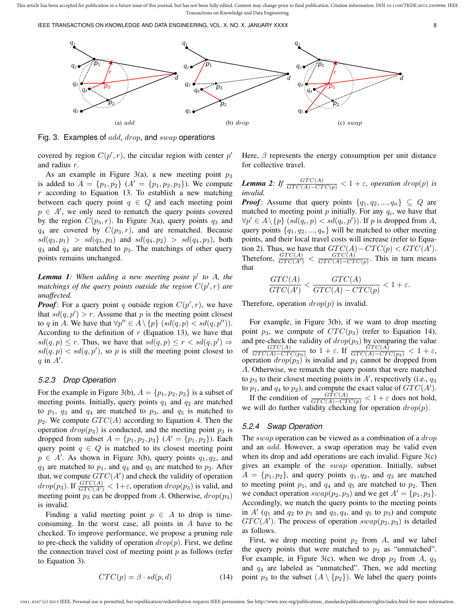IEEE TRANSACTIONS ON KNOWLEDGE AND DATA ENGINEERING, VOL. X, NO. X, JANUARY XXXX 8



Fig. 3. Examples of  $add, drop,$  and  $swap$  operations

covered by region  $C(p', r)$ , the circular region with center  $p'$ and radius r.

As an example in Figure 3(a), a new meeting point  $p_3$ is added to  $A = \{p_1, p_2\}$   $(A' = \{p_1, p_2, p_3\})$ . We compute  $r$  according to Equation 13. To establish a new matching between each query point  $q \in Q$  and each meeting point  $p \in A'$ , we only need to rematch the query points covered by the region  $C(p_3, r)$ . In Figure 3(a), query points  $q_3$  and  $q_4$  are covered by  $C(p_3, r)$ , and are rematched. Because  $sd(q_3, p_1) > sd(q_3, p_3)$  and  $sd(q_4, p_2) > sd(q_4, p_3)$ , both  $q_3$  and  $q_4$  are matched to  $p_3$ . The matchings of other query points remains unchanged.

**Lemma 1**: When adding a new meeting point p' to A, the matchings of the query points outside the region  $C(p', r)$  are *unaffected.*

*Proof*: For a query point q outside region  $C(p', r)$ , we have that  $sd(q, p') > r$ . Assume that p is the meeting point closest to q in A. We have that  $\forall p'' \in A \setminus \{p\}$   $(sd(q, p) < sd(q, p''))$ . According to the definition of  $r$  (Equation 13), we have that  $sd(q, p) \leq r$ . Thus, we have that  $sd(q, p) \leq r < sd(q, p') \Rightarrow$  $sd(q, p) < sd(q, p')$ , so p is still the meeting point closest to q in  $A'$ .

#### *5.2.3 Drop Operation*

For the example in Figure 3(b),  $A = \{p_1, p_2, p_3\}$  is a subset of meeting points. Initially, query points  $q_1$  and  $q_2$  are matched to  $p_1$ ,  $q_3$  and  $q_4$  are matched to  $p_3$ , and  $q_5$  is matched to  $p_2$ . We compute  $GTC(A)$  according to Equation 4. Then the operation  $drop(p_3)$  is conducted, and the meeting point  $p_3$  is dropped from subset  $A = \{p_1, p_2, p_3\}$   $(A' = \{p_1, p_2\})$ . Each query point  $q \in Q$  is matched to its closest meeting point  $p \in A'$ . As shown in Figure 3(b), query points  $q_1, q_2$ , and  $q_3$  are matched to  $p_1$ , and  $q_4$  and  $q_5$  are matched to  $p_2$ . After that, we compute  $GTC(A')$  and check the validity of operation  $drop(p_3)$ . If  $\frac{GTC(A)}{GTC(A)} < 1+\varepsilon$ , operation  $drop(p_3)$  is valid, and meeting point  $p_3$  can be dropped from A. Otherwise,  $drop(p_3)$ is invalid.

Finding a valid meeting point  $p \in A$  to drop is timeconsuming. In the worst case, all points in  $A$  have to be checked. To improve performance, we propose a pruning rule to pre-check the validity of operation  $drop(p)$ . First, we define the connection travel cost of meeting point  $p$  as follows (refer to Equation 3).

$$
CTC(p) = \beta \cdot sd(p, d)
$$
 (14)

Here,  $\beta$  represents the energy consumption per unit distance for collective travel.

*Lemma 2: If*  $\frac{GTC(A)}{GTC(A)-CTC(p)} < 1 + \varepsilon$ , operation drop(p) is *invalid.*

*Proof*: Assume that query points  $\{q_1, q_2, ..., q_n\} \subseteq Q$  are matched to meeting point  $p$  initially. For any  $q_i$ , we have that  $\forall p' \in A \setminus \{p\} \ (sd(q_i, p) < sd(q_i, p')).$  If p is dropped from A, query points  $\{q_1, q_2, ..., q_n\}$  will be matched to other meeting points, and their local travel costs will increase (refer to Equation 2). Thus, we have that  $GTC(A) - CTC(p) < GTC(A')$ . Therefore,  $\frac{GTC(A)}{GTC(A')} < \frac{GTC(A)}{GTC(A)-CT}$  $\frac{GIC(A)}{GTC(A)-CTC(p)}$ . This in turn means that

$$
\frac{GTC(A)}{GTC(A')} < \frac{GTC(A)}{GTC(A) - CTC(p)} < 1 + \varepsilon.
$$

Therefore, operation  $drop(p)$  is invalid.

For example, in Figure 3(b), if we want to drop meeting point  $p_3$ , we compute of  $CTC(p_3)$  (refer to Equation 14), and pre-check the validity of  $drop(p_3)$  by comparing the value of  $\frac{GTC(A)}{GTC(A)-CTC(p_3)}$  to  $1+\varepsilon$ . If  $\frac{GTC(A)}{GTC(A)-CTC(p_3)} < 1+\varepsilon$ , operation  $drop(p_3)$  is invalid and  $p_3$  cannot be dropped from A. Otherwise, we rematch the query points that were matched to  $p_3$  to their closest meeting points in  $A'$ , respectively (i.e.,  $q_3$ ) to  $p_1$ , and  $q_4$  to  $p_2$ ), and compute the exact value of  $GTC(A')$ .

If the condition of  $\frac{GTC(A)}{GTC(A)-CTC(p)} < 1+\varepsilon$  does not hold, we will do further validity checking for operation  $drop(p)$ .

#### *5.2.4 Swap Operation*

The *swap* operation can be viewed as a combination of a *drop* and an add. However, a swap operation may be valid even when its drop and add operations are each invalid. Figure  $3(c)$ gives an example of the swap operation. Initially, subset  $A = \{p_1, p_2\}$ , and query points  $q_1, q_2$ , and  $q_3$  are matched to meeting point  $p_1$ , and  $q_4$  and  $q_5$  are matched to  $p_2$ . Then we conduct operation  $swap(p_2, p_3)$  and we get  $A' = \{p_1, p_3\}.$ Accordingly, we match the query points to the meeting points in  $A'$  ( $q_1$  and  $q_2$  to  $p_1$  and  $q_3$ ,  $q_4$ , and  $q_5$  to  $p_3$ ) and compute  $GTC(A')$ . The process of operation  $swap(p_2, p_3)$  is detailed as follows.

First, we drop meeting point  $p_2$  from A, and we label the query points that were matched to  $p_2$  as "unmatched". For example, in Figure 3(c), when we drop  $p_2$  from A,  $q_3$ and  $q_4$  are labeled as "unmatched". Then, we add meeting point  $p_3$  to the subset  $(A \setminus \{p_2\})$ . We label the query points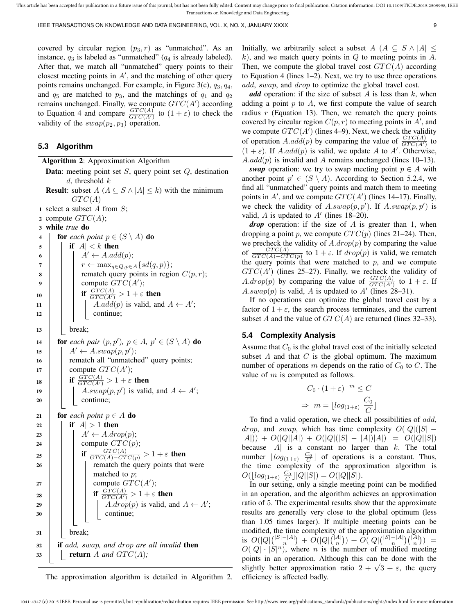covered by circular region  $(p_3, r)$  as "unmatched". As an instance,  $q_3$  is labeled as "unmatched"  $(q_4$  is already labeled). After that, we match all "unmatched" query points to their closest meeting points in  $A'$ , and the matching of other query points remains unchanged. For example, in Figure 3(c),  $q_3, q_4$ , and  $q_5$  are matched to  $p_3$ , and the matchings of  $q_1$  and  $q_2$ remains unchanged. Finally, we compute  $GTC(A')$  according to Equation 4 and compare  $\frac{GTC(A)}{GTC(A')}$  to  $(1+\varepsilon)$  to check the validity of the  $swap(p_2, p_3)$  operation.

#### **5.3 Algorithm**

| <b>Algorithm 2:</b> Approximation Algorithm                                |  |  |  |  |
|----------------------------------------------------------------------------|--|--|--|--|
| <b>Data:</b> meeting point set $S$ , query point set $Q$ , destination     |  |  |  |  |
| d, threshold $k$                                                           |  |  |  |  |
| <b>Result:</b> subset $A(A \subseteq S \land  A  \leq k)$ with the minimum |  |  |  |  |
| GTC(A)                                                                     |  |  |  |  |
| 1 select a subset A from $S$ ;                                             |  |  |  |  |
| compute $GTC(A);$<br>2                                                     |  |  |  |  |
| while true do<br>3                                                         |  |  |  |  |
| for each point $p \in (S \setminus A)$ do<br>4                             |  |  |  |  |
| if $ A  < k$ then<br>5                                                     |  |  |  |  |
| $A' \leftarrow A.add(p);$<br>6                                             |  |  |  |  |
| $r \leftarrow \max_{q \in Q, p \in A} \{sd(q, p)\};$<br>7                  |  |  |  |  |
| rematch query points in region $C(p, r)$ ;<br>8                            |  |  |  |  |
| compute $GTC(A')$ ;<br>9                                                   |  |  |  |  |
| if $\frac{GTC(A)}{GTC(A')} > 1 + \varepsilon$ then<br>10                   |  |  |  |  |
| $A.add(p)$ is valid, and $A \leftarrow A'$ ;<br>11                         |  |  |  |  |
| continue;<br>12                                                            |  |  |  |  |
| break;<br>13                                                               |  |  |  |  |
|                                                                            |  |  |  |  |
| for each pair $(p, p')$ , $p \in A$ , $p' \in (S \setminus A)$ do<br>14    |  |  |  |  |
| $A' \leftarrow A \cdot swap(p, p');$<br>15                                 |  |  |  |  |
| rematch all "unmatched" query points;<br>16                                |  |  |  |  |
| compute $GTC(A')$ ;<br>17                                                  |  |  |  |  |
| if $\frac{GTC(A)}{GTC(A')} > 1 + \varepsilon$ then<br>18                   |  |  |  |  |
| $A.swap(p,p')$ is valid, and $A \leftarrow A'$ ;<br>19                     |  |  |  |  |
| continue;<br>20                                                            |  |  |  |  |
| <b>for</b> each point $p \in A$ <b>do</b><br>21                            |  |  |  |  |
| if $ A  > 1$ then<br>22                                                    |  |  |  |  |
| $A' \leftarrow A \cdot drop(p);$<br>23                                     |  |  |  |  |
| compute $CTC(p)$ ;<br>24                                                   |  |  |  |  |
| if $\frac{GTC(A)}{GTC(A)-CTC(p)} > 1+\varepsilon$ then<br>25               |  |  |  |  |
| rematch the query points that were<br>26                                   |  |  |  |  |
| matched to $p$ ;                                                           |  |  |  |  |
| compute $GTC(A')$ ;<br>27                                                  |  |  |  |  |
| if $\frac{GTC(A)}{GTC(A')} > 1 + \varepsilon$ then                         |  |  |  |  |
| 28<br><i>A.drop(p)</i> is valid, and $A \leftarrow A'$ ;                   |  |  |  |  |
| 29<br>continue;<br>30                                                      |  |  |  |  |
|                                                                            |  |  |  |  |
| break;<br>31                                                               |  |  |  |  |
|                                                                            |  |  |  |  |
| if add, swap, and drop are all invalid then<br>32                          |  |  |  |  |
| <b>return</b> A and $GTC(A)$ ;<br>33                                       |  |  |  |  |
|                                                                            |  |  |  |  |

The approximation algorithm is detailed in Algorithm 2.

Initially, we arbitrarily select a subset  $A \ (A \subseteq S \land |A| \leq$  $k$ ), and we match query points in  $Q$  to meeting points in  $A$ . Then, we compute the global travel cost  $GTC(A)$  according to Equation 4 (lines 1–2). Next, we try to use three operations add, swap, and drop to optimize the global travel cost.

*add* operation: if the size of subset  $A$  is less than  $k$ , when adding a point  $p$  to  $A$ , we first compute the value of search radius  $r$  (Equation 13). Then, we rematch the query points covered by circular region  $C(p, r)$  to meeting points in  $A'$ , and we compute  $GTC(A')$  (lines 4–9). Next, we check the validity of operation A.add(p) by comparing the value of  $\frac{GTC(A)}{GTC(A')}$  to  $(1 + \varepsilon)$ . If A.add(p) is valid, we update A to A'. Otherwise,  $A.add(p)$  is invalid and A remains unchanged (lines 10–13).

*swap* operation: we try to swap meeting point  $p \in A$  with another point  $p' \in (S \setminus A)$ . According to Section 5.2.4, we find all "unmatched" query points and match them to meeting points in A', and we compute  $GTC(A')$  (lines 14–17). Finally, we check the validity of A.swap $(p, p')$ . If A.swap $(p, p')$  is valid,  $A$  is updated to  $A'$  (lines 18–20).

*drop* operation: if the size of A is greater than 1, when dropping a point p, we compute  $CTC(p)$  (lines 21–24). Then, we precheck the validity of  $A \cdot drop(p)$  by comparing the value of  $\frac{GTC(A)}{GTC(A)-CTC(p)}$  to  $1+\varepsilon$ . If  $drop(p)$  is valid, we rematch the query points that were matched to  $p$ , and we compute  $GTC(A')$  (lines 25–27). Finally, we recheck the validity of  $A \cdot drop(p)$  by comparing the value of  $\frac{GTC(A)}{GTC(A')}$  to  $1 + \varepsilon$ . If  $A.swap(p)$  is valid, A is updated to A' (lines 28–31).

If no operations can optimize the global travel cost by a factor of  $1 + \varepsilon$ , the search process terminates, and the current subset A and the value of  $GTC(A)$  are returned (lines 32–33).

#### **5.4 Complexity Analysis**

Assume that  $C_0$  is the global travel cost of the initially selected subset  $A$  and that  $C$  is the global optimum. The maximum number of operations m depends on the ratio of  $C_0$  to C. The value of  $m$  is computed as follows.

$$
C_0 \cdot (1 + \varepsilon)^{-m} \le C
$$
  

$$
\Rightarrow m = \lfloor \log_{(1+\varepsilon)} \frac{C_0}{C} \rfloor
$$

To find a valid operation, we check all possibilities of add, *drop*, and *swap*, which has time complexity  $O(|Q|(|S| - \epsilon))$  $|A|$ )) +  $O(|Q||A|) + O(|Q|(|S| - |A|)|A|) = O(|Q||S|)$ because  $|A|$  is a constant no larger than  $k$ . The total number  $\lfloor log_{(1+\varepsilon)} \frac{C_0}{C} \rfloor$  of operations is a constant. Thus, the time complexity of the approximation algorithm is  $O(|log_{(1+\varepsilon)} \frac{C_0}{C}| |Q| |S|) = O(|Q||S|).$ 

In our setting, only a single meeting point can be modified in an operation, and the algorithm achieves an approximation ratio of 5. The experimental results show that the approximate results are generally very close to the global optimum (less than 1.05 times larger). If multiple meeting points can be modified, the time complexity of the approximation algorithm is  $O(|Q|bin[|S|-|A|)}$  +  $O(|Q|bin[|A|)}$  +  $O(|Q|bin[|S|-|A|)}{n})$  =  $O(|Q| \cdot |\mathcal{S}|^n)$ , where *n* is the number of modified meeting points in an operation. Although this can be done with the points in an operation. Although this can be done with the slightly better approximation ratio  $2 + \sqrt{3} + \varepsilon$ , the query efficiency is affected badly.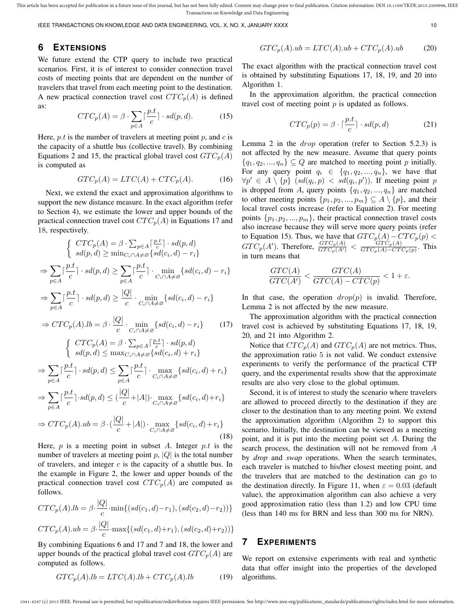IEEE TRANSACTIONS ON KNOWLEDGE AND DATA ENGINEERING, VOL. X, NO. X, JANUARY XXXX 10

# **6 EXTENSIONS**

We future extend the CTP query to include two practical scenarios. First, it is of interest to consider connection travel costs of meeting points that are dependent on the number of travelers that travel from each meeting point to the destination. A new practical connection travel cost  $CTC_p(A)$  is defined as:

$$
CTC_p(A) = \beta \cdot \sum_{p \in A} \lceil \frac{p.t}{c} \rceil \cdot sd(p, d). \tag{15}
$$

Here, p.t is the number of travelers at meeting point p, and c is the capacity of a shuttle bus (collective travel). By combining Equations 2 and 15, the practical global travel cost  $GTC_p(A)$ is computed as

$$
GTC_p(A) = LTC(A) + CTC_p(A). \tag{16}
$$

Next, we extend the exact and approximation algorithms to support the new distance measure. In the exact algorithm (refer to Section 4), we estimate the lower and upper bounds of the practical connection travel cost  $CTC_p(A)$  in Equations 17 and 18, respectively.

$$
\begin{cases}\nCTC_p(A) = \beta \cdot \sum_{p \in A} \lceil \frac{p \cdot t}{c} \rceil \cdot sd(p, d) \\
sd(p, d) \ge \min_{C_i \cap A \ne \varnothing} \{ sd(c_i, d) - r_i\} \\
\Rightarrow \sum_{p \in A} \lceil \frac{p \cdot t}{c} \rceil \cdot sd(p, d) \ge \sum_{p \in A} \lceil \frac{p \cdot t}{c} \rceil \cdot \min_{C_i \cap A \ne \varnothing} \{ sd(c_i, d) - r_i\} \\
\Rightarrow \sum_{p \in A} \lceil \frac{p \cdot t}{c} \rceil \cdot sd(p, d) \ge \frac{|Q|}{c} \cdot \min_{C_i \cap A \ne \varnothing} \{ sd(c_i, d) - r_i\} \\
\Rightarrow CTC_p(A).lb = \beta \cdot \frac{|Q|}{c} \cdot \min_{C_i \cap A \ne \varnothing} \{ sd(c_i, d) - r_i\} \tag{17}
$$

$$
\left\{\n\begin{aligned}\nCTC_p(A) &= \beta \cdot \sum_{p \in A} \left[\frac{p \cdot t}{c}\right] \cdot sd(p, d) \\
sd(p, d) &\leq \max_{C_i \cap A \neq \varnothing} \{sd(c_i, d) + r_i\} \\
\Rightarrow \sum_{p \in A} \left[\frac{p \cdot t}{c}\right] \cdot sd(p, d) &\leq \sum_{p \in A} \left[\frac{p \cdot t}{c}\right] \cdot \max_{C_i \cap A \neq \varnothing} \{sd(c_i, d) + r_i\} \\
\Rightarrow \sum_{p \in A} \left[\frac{p \cdot t}{c}\right] \cdot sd(p, d) &\leq \left(\frac{|Q|}{c} + |A|\right) \cdot \max_{C_i \cap A \neq \varnothing} \{sd(c_i, d) + r_i\} \\
\Rightarrow CTC_p(A).ub &= \beta \cdot \left(\frac{|Q|}{c} + |A|\right) \cdot \max_{C_i \cap A \neq \varnothing} \{sd(c_i, d) + r_i\}\n\end{aligned}\n\right.
$$

$$
\Rightarrow CTC_p(A).ub = \beta \cdot (\frac{|\mathcal{L}|}{c} + |A|) \cdot \max_{C_i \cap A \neq \varnothing} \{sd(c_i, d) + r_i\}
$$
\n(18)

Here,  $p$  is a meeting point in subset A. Integer  $p.t$  is the number of travelers at meeting point  $p$ ,  $|Q|$  is the total number of travelers, and integer  $c$  is the capacity of a shuttle bus. In the example in Figure 2, the lower and upper bounds of the practical connection travel cost  $CTC_p(A)$  are computed as follows.

$$
CTC_p(A).lb = \beta \cdot \frac{|Q|}{c} \cdot \min\{(sd(c_1, d) - r_1), (sd(c_2, d) - r_2))\}
$$

$$
CTC_p(A).ub = \beta \cdot \frac{|Q|}{c} \cdot \max\{(sd(c_1, d) + r_1), (sd(c_2, d) + r_2))\}
$$

By combining Equations 6 and 17 and 7 and 18, the lower and upper bounds of the practical global travel cost  $GTC_p(A)$  are computed as follows.

$$
GTC_p(A).lb = LTC(A).lb + CTC_p(A).lb \t(19)
$$

$$
GTC_p(A).ub = LTC(A).ub + CTC_p(A).ub \t(20)
$$

The exact algorithm with the practical connection travel cost is obtained by substituting Equations 17, 18, 19, and 20 into Algorithm 1.

In the approximation algorithm, the practical connection travel cost of meeting point  $p$  is updated as follows.

$$
CTC_p(p) = \beta \cdot \lceil \frac{p.t}{c} \rceil \cdot sd(p, d)
$$
 (21)

Lemma 2 in the *drop* operation (refer to Section 5.2.3) is not affected by the new measure. Assume that query points  $\{q_1, q_2, ..., q_n\} \subseteq Q$  are matched to meeting point p initially. For any query point  $q_i \in \{q_1, q_2, ..., q_n\}$ , we have that  $\forall p' \in A \setminus \{p\} \ (sd(q_i, p) < sd(q_i, p')).$  If meeting point p is dropped from A, query points  $\{q_1, q_2, ..., q_n\}$  are matched to other meeting points  $\{p_1, p_2, ..., p_m\} \subseteq A \setminus \{p\}$ , and their local travel costs increase (refer to Equation 2). For meeting points  $\{p_1, p_2, ..., p_m\}$ , their practical connection travel costs also increase because they will serve more query points (refer to Equation 15). Thus, we have that  $GTC_p(A)-CTC_p(p)$  <  $GTC_p(A')$ . Therefore,  $\frac{GTC_p(A)}{GTC_p(A')} < \frac{GTC_p(A)}{GTC_p(A)-CTQ}$  $\frac{GIC_p(A)}{GTC_p(A)-CTC_p(p)}$ . This in turn means that

$$
\frac{GTC(A)}{GTC(A')} < \frac{GTC(A)}{GTC(A) - CTC(p)} < 1 + \varepsilon.
$$

In that case, the operation  $drop(p)$  is invalid. Therefore, Lemma 2 is not affected by the new measure.

The approximation algorithm with the practical connection travel cost is achieved by substituting Equations 17, 18, 19, 20, and 21 into Algorithm 2.

Notice that  $CTC_p(A)$  and  $GTC_p(A)$  are not metrics. Thus, the approximation ratio 5 is not valid. We conduct extensive experiments to verify the performance of the practical CTP query, and the experimental results show that the approximate results are also very close to the global optimum.

Second, it is of interest to study the scenario where travelers are allowed to proceed directly to the destination if they are closer to the destination than to any meeting point. We extend the approximation algorithm (Algorithm 2) to support this scenario. Initially, the destination can be viewed as a meeting point, and it is put into the meeting point set  $A$ . During the search process, the destination will not be removed from A by *drop* and *swap* operations. When the search terminates, each traveler is matched to his/her closest meeting point, and the travelers that are matched to the destination can go to the destination directly. In Figure 11, when  $\varepsilon = 0.03$  (default value), the approximation algorithm can also achieve a very good approximation ratio (less than 1.2) and low CPU time (less than 140 ms for BRN and less than 300 ms for NRN).

## **7 EXPERIMENTS**

We report on extensive experiments with real and synthetic data that offer insight into the properties of the developed algorithms.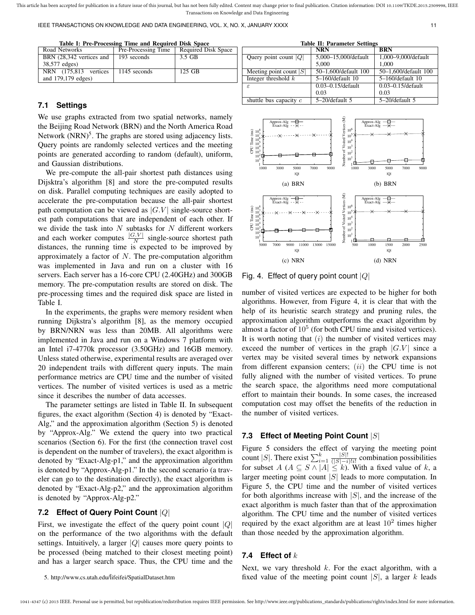IEEE TRANSACTIONS ON KNOWLEDGE AND DATA ENGINEERING, VOL. X, NO. X, JANUARY XXXX 11 11

| Table I: Pre-Processing Time and Required Disk Space |  |  |
|------------------------------------------------------|--|--|
|------------------------------------------------------|--|--|

| Road Networks            | Pre-Processing Time | <b>Required Disk Space</b> |
|--------------------------|---------------------|----------------------------|
| BRN (28,342 vertices and | 193 seconds         | 3.5 GB                     |
| 38,577 edges)            |                     |                            |
| NRN (175,813 vertices    | 1145 seconds        | $125$ GB                   |
| and 179,179 edges)       |                     |                            |

## **7.1 Settings**

We use graphs extracted from two spatial networks, namely the Beijing Road Network (BRN) and the North America Road Network (NRN)<sup>5</sup>. The graphs are stored using adjacency lists. Query points are randomly selected vertices and the meeting points are generated according to random (default), uniform, and Gaussian distributions.

We pre-compute the all-pair shortest path distances using Dijsktra's algorithm [8] and store the pre-computed results on disk. Parallel computing techniques are easily adopted to accelerate the pre-computation because the all-pair shortest path computation can be viewed as  $|G,V|$  single-source shortest path computations that are independent of each other. If we divide the task into  $N$  subtasks for  $N$  different workers and each worker computes  $\frac{|G,V|}{N}$  single-source shortest path distances, the running time is expected to be improved by approximately a factor of  $N$ . The pre-computation algorithm was implemented in Java and run on a cluster with 16 servers. Each server has a 16-core CPU (2.40GHz) and 300GB memory. The pre-computation results are stored on disk. The pre-processing times and the required disk space are listed in Table I.

In the experiments, the graphs were memory resident when running Dijkstra's algorithm [8], as the memory occupied by BRN/NRN was less than 20MB. All algorithms were implemented in Java and run on a Windows 7 platform with an Intel i7-4770k processor (3.50GHz) and 16GB memory. Unless stated otherwise, experimental results are averaged over 20 independent trails with different query inputs. The main performance metrics are CPU time and the number of visited vertices. The number of visited vertices is used as a metric since it describes the number of data accesses.

The parameter settings are listed in Table II. In subsequent figures, the exact algorithm (Section 4) is denoted by "Exact-Alg," and the approximation algorithm (Section 5) is denoted by "Approx-Alg." We extend the query into two practical scenarios (Section 6). For the first (the connection travel cost is dependent on the number of travelers), the exact algorithm is denoted by "Exact-Alg-p1," and the approximation algorithm is denoted by "Approx-Alg-p1." In the second scenario (a traveler can go to the destination directly), the exact algorithm is denoted by "Exact-Alg-p2," and the approximation algorithm is denoted by "Approx-Alg-p2."

# **7.2 Effect of Query Point Count** |Q|

First, we investigate the effect of the query point count  $|Q|$ on the performance of the two algorithms with the default settings. Intuitively, a larger  $|Q|$  causes more query points to be processed (being matched to their closest meeting point) and has a larger search space. Thus, the CPU time and the

5. http://www.cs.utah.edu/˜lifeifei/SpatialDataset.htm

| <b>Table II: Parameter Settings</b> |                        |                        |  |  |
|-------------------------------------|------------------------|------------------------|--|--|
|                                     | <b>NRN</b>             | <b>BRN</b>             |  |  |
| Query point count $ Q $             | 5,000-15,000/default   | 1,000-9,000/default    |  |  |
|                                     | 5.000                  | 1.000                  |  |  |
| Meeting point count $ S $           | 50-1,600/default 100   | 50-1,600/default 100   |  |  |
| Integer threshold $k$               | 5-160/default 10       | 5-160/default 10       |  |  |
| $\varepsilon$                       | $0.03 - 0.15$ /default | $0.03 - 0.15$ /default |  |  |
|                                     | 0.03                   | 0.03                   |  |  |
| shuttle bus capacity $c$            | $5 - 20$ /default 5    | $5 - 20$ /default 5    |  |  |
|                                     |                        |                        |  |  |



Fig. 4. Effect of query point count  $|Q|$ 

number of visited vertices are expected to be higher for both algorithms. However, from Figure 4, it is clear that with the help of its heuristic search strategy and pruning rules, the approximation algorithm outperforms the exact algorithm by almost a factor of  $10<sup>5</sup>$  (for both CPU time and visited vertices). It is worth noting that  $(i)$  the number of visited vertices may exceed the number of vertices in the graph  $|G,V|$  since a vertex may be visited several times by network expansions from different expansion centers;  $(ii)$  the CPU time is not fully aligned with the number of visited vertices. To prune the search space, the algorithms need more computational effort to maintain their bounds. In some cases, the increased computation cost may offset the benefits of the reduction in the number of visited vertices.

#### **7.3 Effect of Meeting Point Count** |S|

Figure 5 considers the effect of varying the meeting point count |S|. There exist  $\sum_{i=1}^{k} \frac{|S|!}{(|S|-i)}$  $\frac{|S|!}{(|S|-i)!i!}$  combination possibilities for subset  $A (A \subseteq S \wedge |A| \leq k)$ . With a fixed value of k, a larger meeting point count  $|S|$  leads to more computation. In Figure 5, the CPU time and the number of visited vertices for both algorithms increase with  $|S|$ , and the increase of the exact algorithm is much faster than that of the approximation algorithm. The CPU time and the number of visited vertices required by the exact algorithm are at least  $10^2$  times higher than those needed by the approximation algorithm.

## **7.4 Effect of** k

1041-4347 (c) 2015 IEEE. Personal use is permitted, but republication/redistribution requires IEEE permission. See http://www.ieee.org/publications\_standards/publications/rights/index.html for more information.

Next, we vary threshold  $k$ . For the exact algorithm, with a fixed value of the meeting point count  $|S|$ , a larger k leads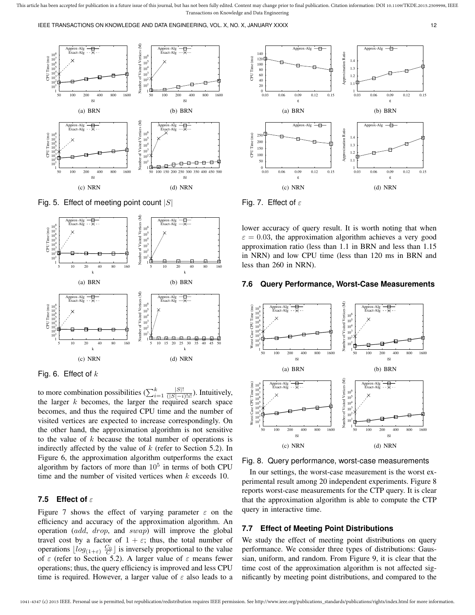IEEE TRANSACTIONS ON KNOWLEDGE AND DATA ENGINEERING, VOL. X, NO. X, JANUARY XXXX 12



Fig. 5. Effect of meeting point count  $|S|$ 



Fig. 6. Effect of  $k$ 

to more combination possibilities  $(\sum_{i=1}^k \frac{|S|!}{(|S|-i)}$  $\frac{|S|!}{(|S|-i)!i!}$ ). Intuitively, the larger  $k$  becomes, the larger the required search space becomes, and thus the required CPU time and the number of visited vertices are expected to increase correspondingly. On the other hand, the approximation algorithm is not sensitive to the value of  $k$  because the total number of operations is indirectly affected by the value of  $k$  (refer to Section 5.2). In Figure 6, the approximation algorithm outperforms the exact algorithm by factors of more than  $10<sup>5</sup>$  in terms of both CPU time and the number of visited vertices when  $k$  exceeds 10.

## **7.5 Effect of** ε

Figure 7 shows the effect of varying parameter  $\varepsilon$  on the efficiency and accuracy of the approximation algorithm. An operation (add, drop, and swap) will improve the global travel cost by a factor of  $1 + \varepsilon$ ; thus, the total number of operations  $\lfloor log_{(1+\varepsilon)} \frac{C_0}{C} \rfloor$  is inversely proportional to the value of  $\varepsilon$  (refer to Section 5.2). A larger value of  $\varepsilon$  means fewer operations; thus, the query efficiency is improved and less CPU time is required. However, a larger value of  $\varepsilon$  also leads to a



Fig. 7. Effect of  $\varepsilon$ 

lower accuracy of query result. It is worth noting that when  $\varepsilon = 0.03$ , the approximation algorithm achieves a very good approximation ratio (less than 1.1 in BRN and less than 1.15 in NRN) and low CPU time (less than 120 ms in BRN and less than 260 in NRN).

## **7.6 Query Performance, Worst-Case Measurements**



Fig. 8. Query performance, worst-case measurements

In our settings, the worst-case measurement is the worst experimental result among 20 independent experiments. Figure 8 reports worst-case measurements for the CTP query. It is clear that the approximation algorithm is able to compute the CTP query in interactive time.

## **7.7 Effect of Meeting Point Distributions**

We study the effect of meeting point distributions on query performance. We consider three types of distributions: Gaussian, uniform, and random. From Figure 9, it is clear that the time cost of the approximation algorithm is not affected significantly by meeting point distributions, and compared to the

This article has been accepted for publication in a future issue of this journal, but has not been fully edited. Content may change prior to final publication. Citation information: DOI 10.1109/TKDE.2015.2509998, IEEE Transactions on Knowledge and Data Engineering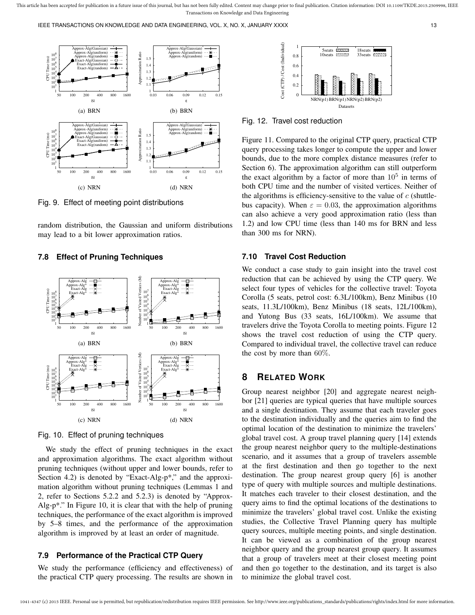IEEE TRANSACTIONS ON KNOWLEDGE AND DATA ENGINEERING, VOL. X, NO. X, JANUARY XXXX 133 13



Fig. 9. Effect of meeting point distributions

random distribution, the Gaussian and uniform distributions may lead to a bit lower approximation ratios.

#### **7.8 Effect of Pruning Techniques**



Fig. 10. Effect of pruning techniques

We study the effect of pruning techniques in the exact and approximation algorithms. The exact algorithm without pruning techniques (without upper and lower bounds, refer to Section 4.2) is denoted by "Exact-Alg-p<sup>\*</sup>," and the approximation algorithm without pruning techniques (Lemmas 1 and 2, refer to Sections 5.2.2 and 5.2.3) is denoted by "Approx-Alg-p\*." In Figure 10, it is clear that with the help of pruning techniques, the performance of the exact algorithm is improved by 5–8 times, and the performance of the approximation algorithm is improved by at least an order of magnitude.

## **7.9 Performance of the Practical CTP Query**

We study the performance (efficiency and effectiveness) of the practical CTP query processing. The results are shown in



Fig. 12. Travel cost reduction

Figure 11. Compared to the original CTP query, practical CTP query processing takes longer to compute the upper and lower bounds, due to the more complex distance measures (refer to Section 6). The approximation algorithm can still outperform the exact algorithm by a factor of more than  $10^5$  in terms of both CPU time and the number of visited vertices. Neither of the algorithms is efficiency-sensitive to the value of  $c$  (shuttlebus capacity). When  $\varepsilon = 0.03$ , the approximation algorithms can also achieve a very good approximation ratio (less than 1.2) and low CPU time (less than 140 ms for BRN and less than 300 ms for NRN).

## **7.10 Travel Cost Reduction**

We conduct a case study to gain insight into the travel cost reduction that can be achieved by using the CTP query. We select four types of vehicles for the collective travel: Toyota Corolla (5 seats, petrol cost: 6.3L/100km), Benz Minibus (10 seats, 11.3L/100km), Benz Minibus (18 seats, 12L/100km), and Yutong Bus (33 seats, 16L/100km). We assume that travelers drive the Toyota Corolla to meeting points. Figure 12 shows the travel cost reduction of using the CTP query. Compared to individual travel, the collective travel can reduce the cost by more than 60%.

# **8 RELATED WORK**

Group nearest neighbor [20] and aggregate nearest neighbor [21] queries are typical queries that have multiple sources and a single destination. They assume that each traveler goes to the destination individually and the queries aim to find the optimal location of the destination to minimize the travelers' global travel cost. A group travel planning query [14] extends the group nearest neighbor query to the multiple-destinations scenario, and it assumes that a group of travelers assemble at the first destination and then go together to the next destination. The group nearest group query [6] is another type of query with multiple sources and multiple destinations. It matches each traveler to their closest destination, and the query aims to find the optimal locations of the destinations to minimize the travelers' global travel cost. Unlike the existing studies, the Collective Travel Planning query has multiple query sources, multiple meeting points, and single destination. It can be viewed as a combination of the group nearest neighbor query and the group nearest group query. It assumes that a group of travelers meet at their closest meeting point and then go together to the destination, and its target is also to minimize the global travel cost.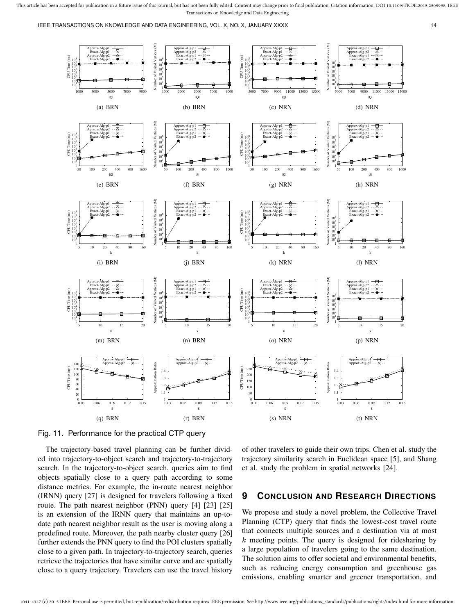IEEE TRANSACTIONS ON KNOWLEDGE AND DATA ENGINEERING, VOL. X, NO. X, JANUARY XXXX 14



Fig. 11. Performance for the practical CTP query

The trajectory-based travel planning can be further divided into trajectory-to-object search and trajectory-to-trajectory search. In the trajectory-to-object search, queries aim to find objects spatially close to a query path according to some distance metrics. For example, the in-route nearest neighbor (IRNN) query [27] is designed for travelers following a fixed route. The path nearest neighbor (PNN) query [4] [23] [25] is an extension of the IRNN query that maintains an up-todate path nearest neighbor result as the user is moving along a predefined route. Moreover, the path nearby cluster query [26] further extends the PNN query to find the POI clusters spatially close to a given path. In trajectory-to-trajectory search, queries retrieve the trajectories that have similar curve and are spatially close to a query trajectory. Travelers can use the travel history

of other travelers to guide their own trips. Chen et al. study the trajectory similarity search in Euclidean space [5], and Shang et al. study the problem in spatial networks [24].

# **9 CONCLUSION AND RESEARCH DIRECTIONS**

We propose and study a novel problem, the Collective Travel Planning (CTP) query that finds the lowest-cost travel route that connects multiple sources and a destination via at most  $k$  meeting points. The query is designed for ridesharing by a large population of travelers going to the same destination. The solution aims to offer societal and environmental benefits, such as reducing energy consumption and greenhouse gas emissions, enabling smarter and greener transportation, and

This article has been accepted for publication in a future issue of this journal, but has not been fully edited. Content may change prior to final publication. Citation information: DOI 10.1109/TKDE.2015.2509998, IEEE Transactions on Knowledge and Data Engineering